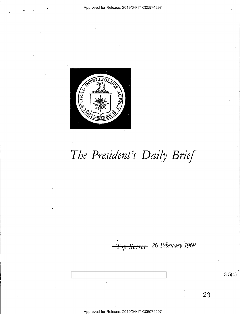

# The President's Daily Brief

Top Secret 26 February 1968

 $3.5(c)$ 

23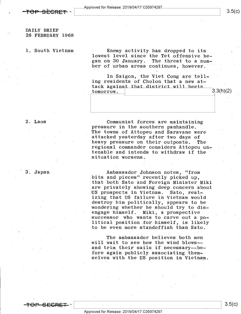DAILY BRIEF 26 FEBRUARY 1968

1. South Vietnam

Enemy activity has dropped to its lowest level since the Tet offensive began on 30 January. The threat to a number of urban areas continues, however.

In Saigon, the Viet Cong are telling residents of Cholon that a new attack against that district will begin  $\frac{1}{2}$  tomorrow.  $3.3(h)(2)$ 

2. Laos

3. Japan'

Communist forces are maintaining<br>pressure in the southern panhandle.<br>The towns of Attopeu and Saravane were attacked yesterday after two days of<br>heavy pressure on their outposts. The regional commander considers Attopeu untenable and intends to withdraw if the situation worsens.

Ambassador Johnson notes, "from<br>bits and pieces" recently picked up, that both Sato and Foreign Minister Miki are privately showing deep concern about<br>US prospects in Vietnam. Sato, real-US prospects in Vietnam. izing that US failure in Vietnam would destroy him politically, appears to be wondering whether he should try to dis-<br>engage himself. Miki, a prospective successor who wants to carve out a political position for himself, is likely to be even more standoffish than Sato.

The ambassador believes both men will wait to see how the wind blows- and trim their sails if necessary--be-<br>fore again publicly associating themselves with the US position in Vietnam.

-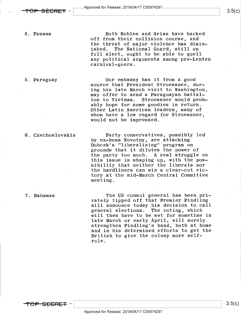

 $3.5(c)$ 

4.-Panama

5..Paraguay

Both Robles and Arias have backed off from their collision course, and the threat of major violence has diminished. The National Guard, still on full alert, ought to be able to quell any political arguments among pre-Lenten carnival-goers.

Our embassy has it from a good source that President Stroessner, during his late.March visit to Washington, may offer to send a Paraguayan battalion to Vietnam. Stroessner would probably hope for some goodies in return. Other Latin American leaders, many of whom have a low regard for Stroessner, would not be impressed.

#### 6. Czechoslovakia

7. Bahamas

Party conservatives, possibly led by ex-boss Novotny, are attacking Dubcek's "liberalizing" program on grounds that it dilutes the power of the party too much. A real struggle on this issue is shaping up, with the possibility that neither the liberals nor the hardliners can win.a clear-cut victory at the mid-March Central Committee meeting.

The US consul general has been privately tipped off that Premier Pindling will announce today his decision to call general elections. The voting, which will then have to be set for sometime in late March or early April, will surely strengthen Pindling's hand, both at home and in his determined efforts to get the British to give the colony more selfrule.



 $\begin{bmatrix} 3.5(E) \end{bmatrix}$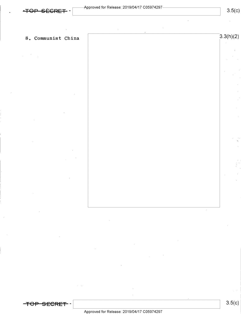$\frac{1}{2} \left( \frac{1}{2} \right) \left( \frac{1}{2} \right)$ 

## 8. Communist China  $\sqrt{3.3(h)(2)}$

<del>TOP SECRET</del> -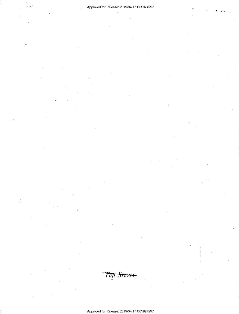v

 $\mathbf{y}$  .

Top Secret-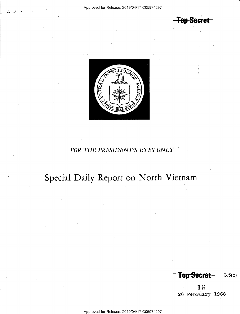<del>-Top Secret -</del>



#### FOR THE PRESIDENT'S EYES ONLY

# Special Daily Report on North Vietnam

Top Secret-<br>3.5(c)

 $\vec{r}$  o ~26 February 1968

Approved for Release: 2019/O4/17 CO5974297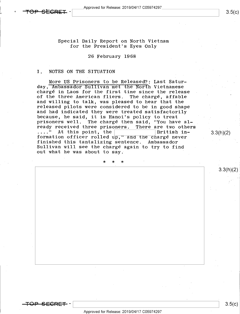L <sup>K</sup>

 $3.5(c)$ 

Special Daily Report on North Vietnam for the President's Eyes Only

26 February l968

#### I. NOTES ON THE SITUATION

More US Prisoners to be Released?: Last Satur-<br>day, Ambassador Sullivan met the North Vietnamese chargé in Laos for the first time since the release of the three American fliers. The chargé, affable<br>and willing to talk, was pleased to hear that the released pilots were considered to be in good shape and had indicated they were treated satisfactorily<br>because, he said, it is Hanoi's policy to treat prisoners well. The chargé then said, "You have already received three prisoners. There are two others<br>...." At this point, the  $\boxed{\phantom{\begin{array}{|c|c|c|c|c|c|c|c|c|c|c|c|c|c|c|c|c} \hline \text{.} & \text{.} & \text{.} & \text{.} & \text{.} & \text{.} & \text{.} & \text{.} & \text{.} & \text{.} & \text{.} & \text{.} & \text{.} & \text{.} & \text{.} & \text{.$ formation officer rolled up," and the chargé never<br>finished this tantalizing sentence. Ambassador Sullivan will see the chargé again to try to find out what he was about to say.

\* \* \*

 $3.3(h)(2)$ 

<del>TOP SECRET</del> –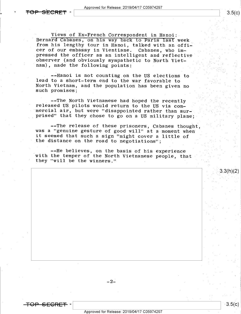\ \; 8-5(¢)

<del>SFCRFT</del>

-

Views of Ex-French Correspondent in Hanoi:<br>Bernard Cabanes, on his way back to Paris last week from his lengthy tour in Hanoi, talked with an offi-<br>cer of our embassy in Vientiane. Cabanes, who impressed the officer as an intelligent and reflective<br>observer (and obviously sympathetic to North Vietnam), made the following points;

--Hanoi is not counting on the US elections to lead to a short-term end to the war favorable to North Vietnam, and the population has been given no such promises;

--The North Vietnamese had hoped the recently<br>released US pilots would return to the US via com-<br>mercial air, but were "disappointed rather than surprised" that they chose to go on a US military plane:  $\epsilon$ 

--The release of these prisoners, Cabanes thought, was a "genuine gesture of good will" at a moment when it seemed that such a sign "might cover a little of the distance on the road to negotiations"; .

\_ --He believes, on the basis of his experience with the temper of the North Vietnamese people, that they "will be the winners." »

 $-2-$ 

 $3.3(h)(2)$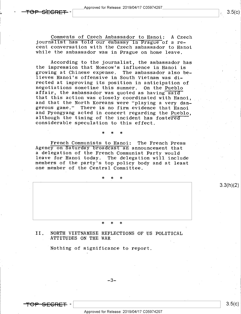\_ Approved for Release: 2019/O4/17 CO5974297

~

Comments of Czech Ambassador to Hanoi: A Czech<br>journalist has told our embassy in Prague of a re-<br>cent conversation with the Czech ambassador to Hanoi while the ambassador was in Prague on home leave.

According to the journalist, the ambassador has<br>the impression that Moscow's influence in Hanoi is growing at Chinese expense. The ambassador also believes Hanoi's offensive in South Vietnam was di-<br>rected at improving its position in anticipation of negotiations sometime this summer. On the Pueblo<br>affair, the ambassador was quoted as having said<br>that this action was closely coordinated with Hanoi. and that the North Koreans were "playing a very dan-<br>gerous game." There is no firm evidence that Hanoi<br>and Pyongyang acted in concert regarding the Pueblo,<br>although the timing of the incident has fostered<br>considerable spe

French Communists to Hanoi: The French Press<br>Agency on Saturday broadcast an announcement that<br>a delegation of the French Communist Party would leave for Hanoi today. The delegation will include members of the party's top policy body and at least one member of the Central Committee.

\* \* \*

\* \* \*

### >|< \* \*

II. NORTH VIETNAMESE REFLECTIONS OF US POLITICAL<br>ATTITUDES ON THE WAR

Nothing of significance to report.

<del>OP-SECRET</del> –

3.3(h)(2)

 $3.5(c)$